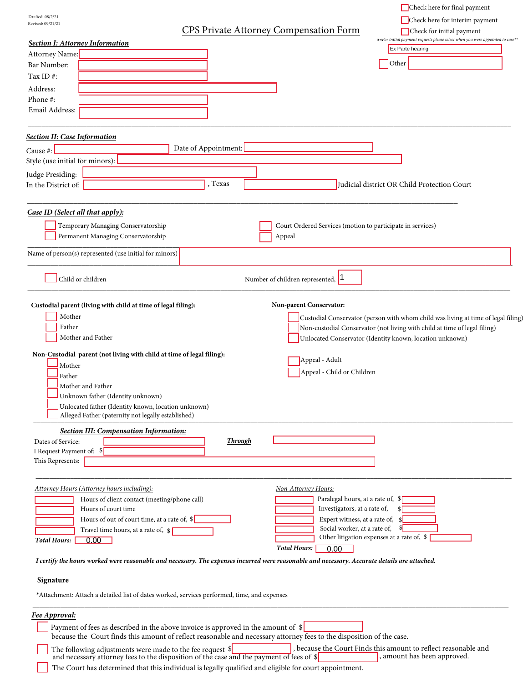| Drafted: 08/2/21<br>Revised: 09/21/21                                                                                                                                                                                                                                                                                                                                      |                                                                                                                                                                                                                                                                     | Check here for interim payment                                                                                                                                                                                             |
|----------------------------------------------------------------------------------------------------------------------------------------------------------------------------------------------------------------------------------------------------------------------------------------------------------------------------------------------------------------------------|---------------------------------------------------------------------------------------------------------------------------------------------------------------------------------------------------------------------------------------------------------------------|----------------------------------------------------------------------------------------------------------------------------------------------------------------------------------------------------------------------------|
|                                                                                                                                                                                                                                                                                                                                                                            | CPS Private Attorney Compensation Form                                                                                                                                                                                                                              | Check for initial payment<br>**For initial payment requests please select when you were appointed to case**                                                                                                                |
| <b>Section I: Attorney Information</b>                                                                                                                                                                                                                                                                                                                                     |                                                                                                                                                                                                                                                                     | Ex Parte hearing                                                                                                                                                                                                           |
| Attorney Name:<br>Bar Number:                                                                                                                                                                                                                                                                                                                                              |                                                                                                                                                                                                                                                                     | Other                                                                                                                                                                                                                      |
| Tax ID#:                                                                                                                                                                                                                                                                                                                                                                   |                                                                                                                                                                                                                                                                     |                                                                                                                                                                                                                            |
| Address:                                                                                                                                                                                                                                                                                                                                                                   |                                                                                                                                                                                                                                                                     |                                                                                                                                                                                                                            |
| Phone#:                                                                                                                                                                                                                                                                                                                                                                    |                                                                                                                                                                                                                                                                     |                                                                                                                                                                                                                            |
| Email Address:                                                                                                                                                                                                                                                                                                                                                             |                                                                                                                                                                                                                                                                     |                                                                                                                                                                                                                            |
|                                                                                                                                                                                                                                                                                                                                                                            |                                                                                                                                                                                                                                                                     |                                                                                                                                                                                                                            |
| <b>Section II: Case Information</b>                                                                                                                                                                                                                                                                                                                                        |                                                                                                                                                                                                                                                                     |                                                                                                                                                                                                                            |
| Cause #:                                                                                                                                                                                                                                                                                                                                                                   | Date of Appointment:                                                                                                                                                                                                                                                |                                                                                                                                                                                                                            |
| Style (use initial for minors):                                                                                                                                                                                                                                                                                                                                            |                                                                                                                                                                                                                                                                     |                                                                                                                                                                                                                            |
| Judge Presiding:                                                                                                                                                                                                                                                                                                                                                           |                                                                                                                                                                                                                                                                     |                                                                                                                                                                                                                            |
| In the District of:                                                                                                                                                                                                                                                                                                                                                        | , Texas                                                                                                                                                                                                                                                             | Judicial district OR Child Protection Court                                                                                                                                                                                |
|                                                                                                                                                                                                                                                                                                                                                                            |                                                                                                                                                                                                                                                                     |                                                                                                                                                                                                                            |
| Case ID (Select all that apply):                                                                                                                                                                                                                                                                                                                                           |                                                                                                                                                                                                                                                                     |                                                                                                                                                                                                                            |
| Temporary Managing Conservatorship<br>Permanent Managing Conservatorship                                                                                                                                                                                                                                                                                                   | Court Ordered Services (motion to participate in services)<br>Appeal                                                                                                                                                                                                |                                                                                                                                                                                                                            |
|                                                                                                                                                                                                                                                                                                                                                                            |                                                                                                                                                                                                                                                                     |                                                                                                                                                                                                                            |
| Name of person(s) represented (use initial for minors)                                                                                                                                                                                                                                                                                                                     |                                                                                                                                                                                                                                                                     |                                                                                                                                                                                                                            |
|                                                                                                                                                                                                                                                                                                                                                                            |                                                                                                                                                                                                                                                                     |                                                                                                                                                                                                                            |
| Child or children                                                                                                                                                                                                                                                                                                                                                          | Number of children represented, 1                                                                                                                                                                                                                                   |                                                                                                                                                                                                                            |
| Custodial parent (living with child at time of legal filing):<br>Mother<br>Father<br>Mother and Father<br>Non-Custodial parent (not living with child at time of legal filing):<br>Mother<br>Father<br>Mother and Father<br>Unknown father (Identity unknown)<br>Unlocated father (Identity known, location unknown)<br>Alleged Father (paternity not legally established) | Non-parent Conservator:<br>Appeal - Adult<br>Appeal - Child or Children                                                                                                                                                                                             | Custodial Conservator (person with whom child was living at time of legal filing)<br>Non-custodial Conservator (not living with child at time of legal filing)<br>Unlocated Conservator (Identity known, location unknown) |
| <b>Section III: Compensation Information:</b>                                                                                                                                                                                                                                                                                                                              |                                                                                                                                                                                                                                                                     |                                                                                                                                                                                                                            |
| Dates of Service:                                                                                                                                                                                                                                                                                                                                                          | Through                                                                                                                                                                                                                                                             |                                                                                                                                                                                                                            |
| I Request Payment of: \$                                                                                                                                                                                                                                                                                                                                                   |                                                                                                                                                                                                                                                                     |                                                                                                                                                                                                                            |
| This Represents:                                                                                                                                                                                                                                                                                                                                                           |                                                                                                                                                                                                                                                                     |                                                                                                                                                                                                                            |
| Attorney Hours (Attorney hours including):<br>Hours of client contact (meeting/phone call)<br>Hours of court time<br>Hours of out of court time, at a rate of, $\frac{1}{2}$<br>Travel time hours, at a rate of, $\vert \$<br>0.00<br><b>Total Hours:</b>                                                                                                                  | Non-Attorney Hours:<br>Investigators, at a rate of,<br>Social worker, at a rate of,<br><b>Total Hours:</b><br>0.00<br>I certify the hours worked were reasonable and necessary. The expenses incurred were reasonable and necessary. Accurate details are attached. | Paralegal hours, at a rate of, \$<br><sup>\$</sup><br>Expert witness, at a rate of, $\S$<br><sup>\$</sup><br>Other litigation expenses at a rate of, \$                                                                    |
|                                                                                                                                                                                                                                                                                                                                                                            |                                                                                                                                                                                                                                                                     |                                                                                                                                                                                                                            |
| Signature                                                                                                                                                                                                                                                                                                                                                                  |                                                                                                                                                                                                                                                                     |                                                                                                                                                                                                                            |
|                                                                                                                                                                                                                                                                                                                                                                            | *Attachment: Attach a detailed list of dates worked, services performed, time, and expenses                                                                                                                                                                         |                                                                                                                                                                                                                            |
| Fee Approval:                                                                                                                                                                                                                                                                                                                                                              |                                                                                                                                                                                                                                                                     |                                                                                                                                                                                                                            |
|                                                                                                                                                                                                                                                                                                                                                                            | Payment of fees as described in the above invoice is approved in the amount of $\$<br>because the Court finds this amount of reflect reasonable and necessary attorney fees to the disposition of the case.                                                         |                                                                                                                                                                                                                            |
| The following adjustments were made to the fee request \$                                                                                                                                                                                                                                                                                                                  | and necessary attorney fees to the disposition of the case and the payment of fees of \$                                                                                                                                                                            | , because the Court Finds this amount to reflect reasonable and<br>, amount has been approved.                                                                                                                             |

Check here for final payment

The Court has determined that this individual is legally qualified and eligible for court appointment.